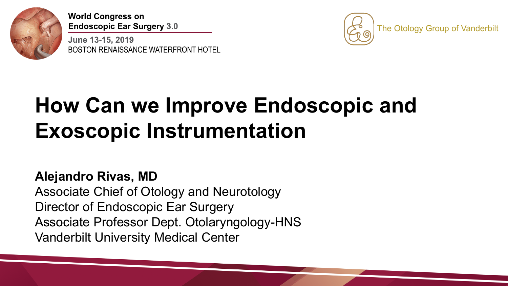

June 13-15, 2019 BOSTON RENAISSANCE WATERFRONT HOTEL



# **How Can we Improve Endoscopic and Exoscopic Instrumentation**

## **Alejandro Rivas, MD**

Associate Chief of Otology and Neurotology Director of Endoscopic Ear Surgery Associate Professor Dept. Otolaryngology-HNS Vanderbilt University Medical Center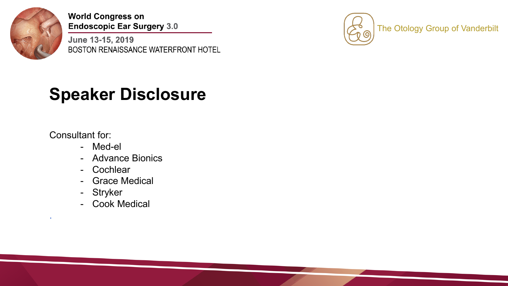

June 13-15, 2019 BOSTON RENAISSANCE WATERFRONT HOTEL



## **Speaker Disclosure**

Consultant for:

.

- Med-el
- Advance Bionics
- Cochlear
- Grace Medical
- Stryker
- Cook Medical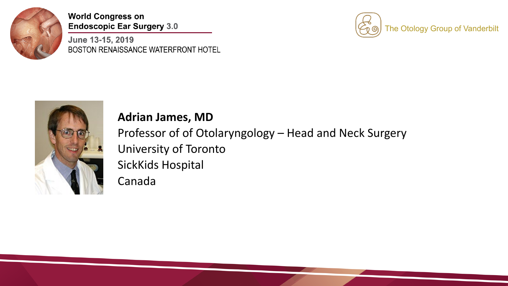

June 13-15, 2019 BOSTON RENAISSANCE WATERFRONT HOTEL





#### **Adrian James, MD**

Professor of of Otolaryngology – Head and Neck Surgery University of Toronto SickKids Hospital Canada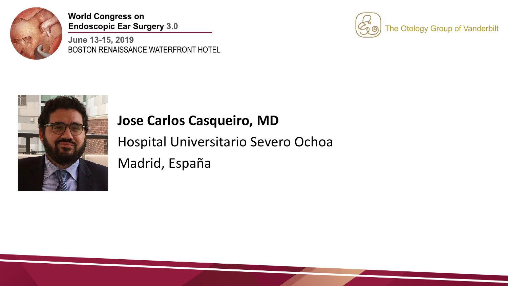

June 13-15, 2019 BOSTON RENAISSANCE WATERFRONT HOTEL





## **Jose Carlos Casqueiro, MD**

Hospital Universitario Severo Ochoa Madrid, España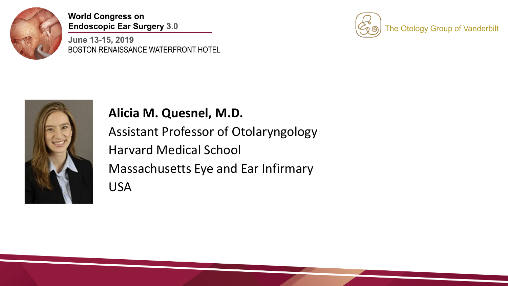

June 13-15, 2019 BOSTON RENAISSANCE WATERFRONT HOTEL





### **Alicia M. Quesnel, M.D.**

Assistant Professor of Otolaryngology Harvard Medical School Massachusetts Eye and Ear Infirmary USA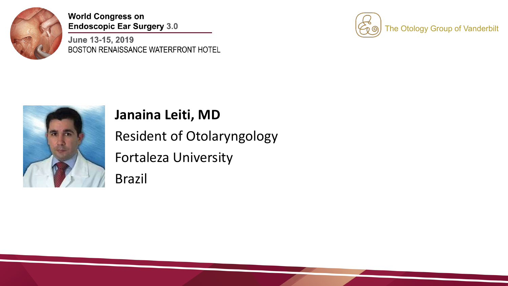

June 13-15, 2019 BOSTON RENAISSANCE WATERFRONT HOTEL





## **Janaina Leiti, MD**

Resident of Otolaryngology Fortaleza University Brazil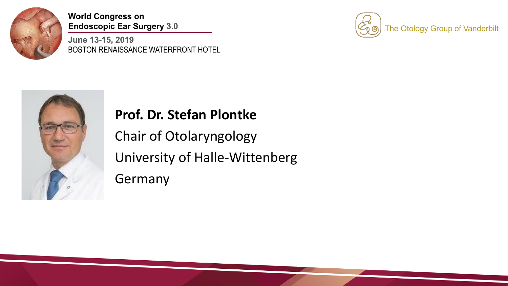

June 13-15, 2019 BOSTON RENAISSANCE WATERFRONT HOTEL





## **Prof. Dr. Stefan Plontke**

Chair of Otolaryngology University of Halle-Wittenberg Germany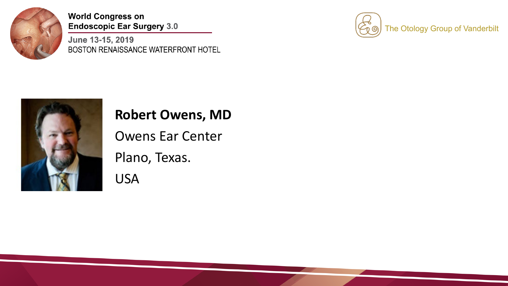

June 13-15, 2019 BOSTON RENAISSANCE WATERFRONT HOTEL





### **Robert Owens, MD**

Owens Ear Center Plano, Texas. USA